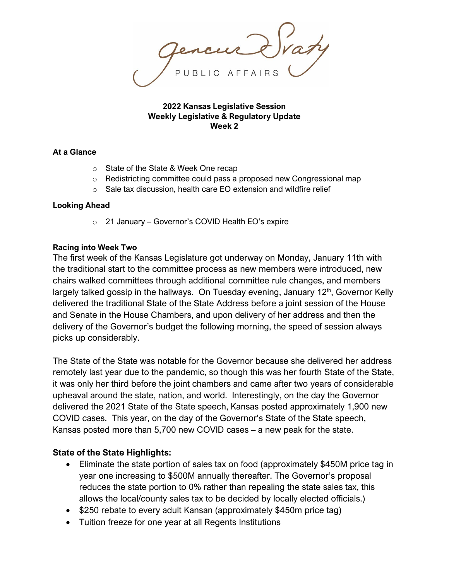**2022 Kansas Legislative Session Weekly Legislative & Regulatory Update Week 2**

#### **At a Glance**

- o State of the State & Week One recap
- o Redistricting committee could pass a proposed new Congressional map
- o Sale tax discussion, health care EO extension and wildfire relief

#### **Looking Ahead**

o 21 January – Governor's COVID Health EO's expire

#### **Racing into Week Two**

The first week of the Kansas Legislature got underway on Monday, January 11th with the traditional start to the committee process as new members were introduced, new chairs walked committees through additional committee rule changes, and members largely talked gossip in the hallways. On Tuesday evening, January 12<sup>th</sup>, Governor Kelly delivered the traditional State of the State Address before a joint session of the House and Senate in the House Chambers, and upon delivery of her address and then the delivery of the Governor's budget the following morning, the speed of session always picks up considerably.

The State of the State was notable for the Governor because she delivered her address remotely last year due to the pandemic, so though this was her fourth State of the State, it was only her third before the joint chambers and came after two years of considerable upheaval around the state, nation, and world. Interestingly, on the day the Governor delivered the 2021 State of the State speech, Kansas posted approximately 1,900 new COVID cases. This year, on the day of the Governor's State of the State speech, Kansas posted more than 5,700 new COVID cases – a new peak for the state.

### **State of the State Highlights:**

- Eliminate the state portion of sales tax on food (approximately \$450M price tag in year one increasing to \$500M annually thereafter. The Governor's proposal reduces the state portion to 0% rather than repealing the state sales tax, this allows the local/county sales tax to be decided by locally elected officials.)
- \$250 rebate to every adult Kansan (approximately \$450m price tag)
- Tuition freeze for one year at all Regents Institutions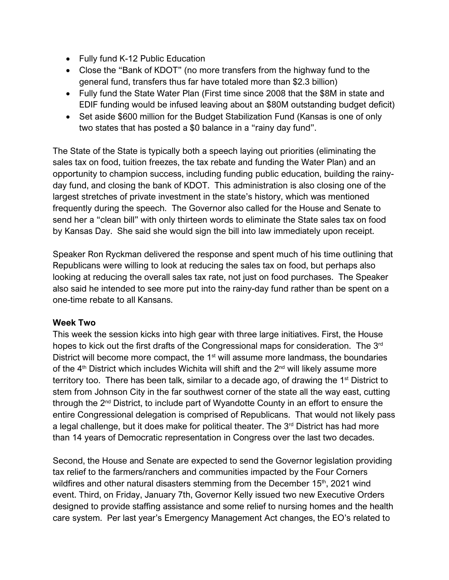- Fully fund K-12 Public Education
- Close the "Bank of KDOT" (no more transfers from the highway fund to the general fund, transfers thus far have totaled more than \$2.3 billion)
- Fully fund the State Water Plan (First time since 2008 that the \$8M in state and EDIF funding would be infused leaving about an \$80M outstanding budget deficit)
- Set aside \$600 million for the Budget Stabilization Fund (Kansas is one of only two states that has posted a \$0 balance in a "rainy day fund".

The State of the State is typically both a speech laying out priorities (eliminating the sales tax on food, tuition freezes, the tax rebate and funding the Water Plan) and an opportunity to champion success, including funding public education, building the rainyday fund, and closing the bank of KDOT. This administration is also closing one of the largest stretches of private investment in the state's history, which was mentioned frequently during the speech. The Governor also called for the House and Senate to send her a "clean bill" with only thirteen words to eliminate the State sales tax on food by Kansas Day. She said she would sign the bill into law immediately upon receipt.

Speaker Ron Ryckman delivered the response and spent much of his time outlining that Republicans were willing to look at reducing the sales tax on food, but perhaps also looking at reducing the overall sales tax rate, not just on food purchases. The Speaker also said he intended to see more put into the rainy-day fund rather than be spent on a one-time rebate to all Kansans.

# **Week Two**

This week the session kicks into high gear with three large initiatives. First, the House hopes to kick out the first drafts of the Congressional maps for consideration. The 3<sup>rd</sup> District will become more compact, the  $1<sup>st</sup>$  will assume more landmass, the boundaries of the 4<sup>th</sup> District which includes Wichita will shift and the 2<sup>nd</sup> will likely assume more territory too. There has been talk, similar to a decade ago, of drawing the  $1<sup>st</sup>$  District to stem from Johnson City in the far southwest corner of the state all the way east, cutting through the 2nd District, to include part of Wyandotte County in an effort to ensure the entire Congressional delegation is comprised of Republicans. That would not likely pass a legal challenge, but it does make for political theater. The  $3<sup>rd</sup>$  District has had more than 14 years of Democratic representation in Congress over the last two decades.

Second, the House and Senate are expected to send the Governor legislation providing tax relief to the farmers/ranchers and communities impacted by the Four Corners wildfires and other natural disasters stemming from the December 15<sup>th</sup>, 2021 wind event. Third, on Friday, January 7th, Governor Kelly issued two new Executive Orders designed to provide staffing assistance and some relief to nursing homes and the health care system. Per last year's Emergency Management Act changes, the EO's related to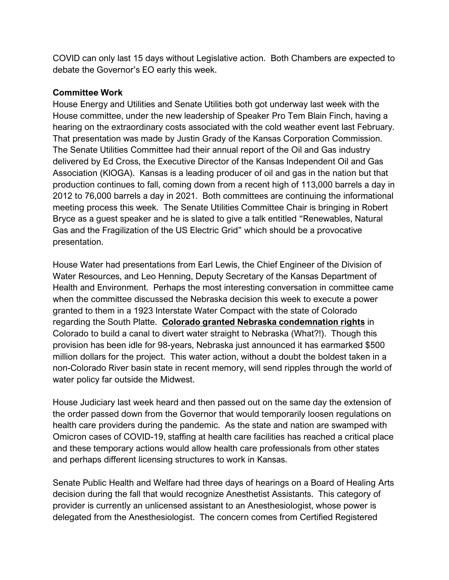COVID can only last 15 days without Legislative action. Both Chambers are expected to debate the Governor's EO early this week.

## **Committee Work**

House Energy and Utilities and Senate Utilities both got underway last week with the House committee, under the new leadership of Speaker Pro Tem Blain Finch, having a hearing on the extraordinary costs associated with the cold weather event last February. That presentation was made by Justin Grady of the Kansas Corporation Commission. The Senate Utilities Committee had their annual report of the Oil and Gas industry delivered by Ed Cross, the Executive Director of the Kansas Independent Oil and Gas Association (KIOGA). Kansas is a leading producer of oil and gas in the nation but that production continues to fall, coming down from a recent high of 113,000 barrels a day in 2012 to 76,000 barrels a day in 2021. Both committees are continuing the informational meeting process this week. The Senate Utilities Committee Chair is bringing in Robert Bryce as a guest speaker and he is slated to give a talk entitled "Renewables, Natural Gas and the Fragilization of the US Electric Grid" which should be a provocative presentation.

House Water had presentations from Earl Lewis, the Chief Engineer of the Division of Water Resources, and Leo Henning, Deputy Secretary of the Kansas Department of Health and Environment. Perhaps the most interesting conversation in committee came when the committee discussed the Nebraska decision this week to execute a power granted to them in a 1923 Interstate Water Compact with the state of Colorado regarding the South Platte. **Colorado granted Nebraska condemnation rights** in Colorado to build a canal to divert water straight to Nebraska (What?!). Though this provision has been idle for 98-years, Nebraska just announced it has earmarked \$500 million dollars for the project. This water action, without a doubt the boldest taken in a non-Colorado River basin state in recent memory, will send ripples through the world of water policy far outside the Midwest.

House Judiciary last week heard and then passed out on the same day the extension of the order passed down from the Governor that would temporarily loosen regulations on health care providers during the pandemic. As the state and nation are swamped with Omicron cases of COVID-19, staffing at health care facilities has reached a critical place and these temporary actions would allow health care professionals from other states and perhaps different licensing structures to work in Kansas.

Senate Public Health and Welfare had three days of hearings on a Board of Healing Arts decision during the fall that would recognize Anesthetist Assistants. This category of provider is currently an unlicensed assistant to an Anesthesiologist, whose power is delegated from the Anesthesiologist. The concern comes from Certified Registered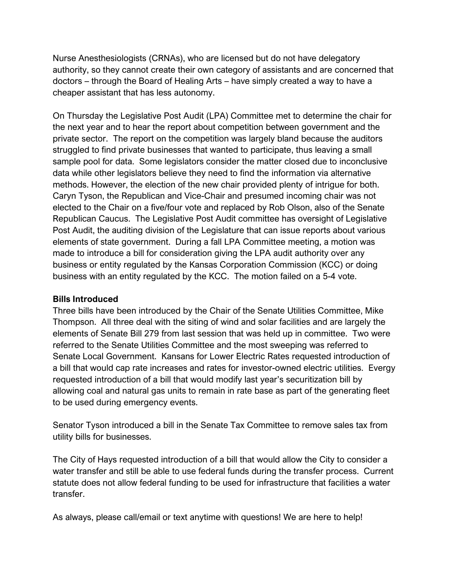Nurse Anesthesiologists (CRNAs), who are licensed but do not have delegatory authority, so they cannot create their own category of assistants and are concerned that doctors – through the Board of Healing Arts – have simply created a way to have a cheaper assistant that has less autonomy.

On Thursday the Legislative Post Audit (LPA) Committee met to determine the chair for the next year and to hear the report about competition between government and the private sector. The report on the competition was largely bland because the auditors struggled to find private businesses that wanted to participate, thus leaving a small sample pool for data. Some legislators consider the matter closed due to inconclusive data while other legislators believe they need to find the information via alternative methods. However, the election of the new chair provided plenty of intrigue for both. Caryn Tyson, the Republican and Vice-Chair and presumed incoming chair was not elected to the Chair on a five/four vote and replaced by Rob Olson, also of the Senate Republican Caucus. The Legislative Post Audit committee has oversight of Legislative Post Audit, the auditing division of the Legislature that can issue reports about various elements of state government. During a fall LPA Committee meeting, a motion was made to introduce a bill for consideration giving the LPA audit authority over any business or entity regulated by the Kansas Corporation Commission (KCC) or doing business with an entity regulated by the KCC. The motion failed on a 5-4 vote.

### **Bills Introduced**

Three bills have been introduced by the Chair of the Senate Utilities Committee, Mike Thompson. All three deal with the siting of wind and solar facilities and are largely the elements of Senate Bill 279 from last session that was held up in committee. Two were referred to the Senate Utilities Committee and the most sweeping was referred to Senate Local Government. Kansans for Lower Electric Rates requested introduction of a bill that would cap rate increases and rates for investor-owned electric utilities. Evergy requested introduction of a bill that would modify last year's securitization bill by allowing coal and natural gas units to remain in rate base as part of the generating fleet to be used during emergency events.

Senator Tyson introduced a bill in the Senate Tax Committee to remove sales tax from utility bills for businesses.

The City of Hays requested introduction of a bill that would allow the City to consider a water transfer and still be able to use federal funds during the transfer process. Current statute does not allow federal funding to be used for infrastructure that facilities a water transfer.

As always, please call/email or text anytime with questions! We are here to help!